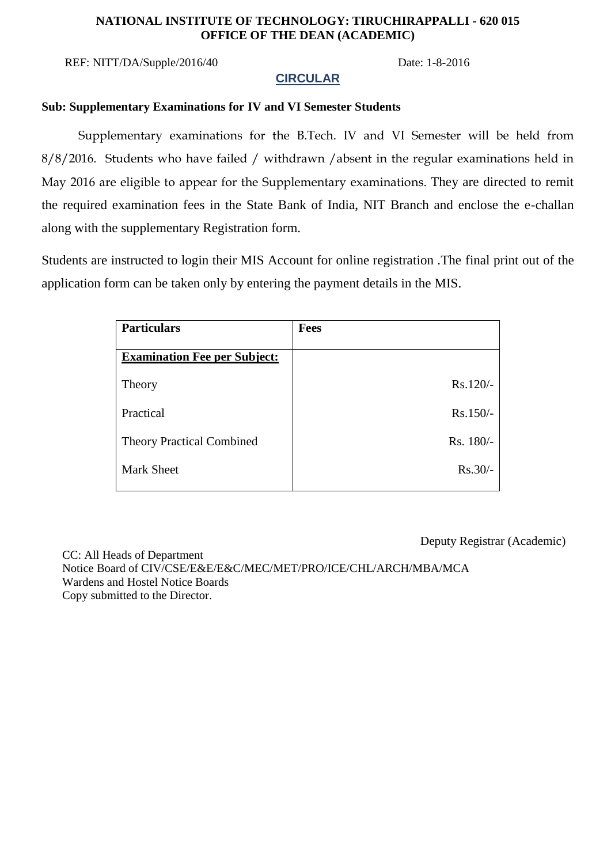### **NATIONAL INSTITUTE OF TECHNOLOGY: TIRUCHIRAPPALLI - 620 015 OFFICE OF THE DEAN (ACADEMIC)**

REF: NITT/DA/Supple/2016/40 Date: 1-8-2016

## **CIRCULAR**

## **Sub: Supplementary Examinations for IV and VI Semester Students**

Supplementary examinations for the B.Tech. IV and VI Semester will be held from 8/8/2016. Students who have failed / withdrawn /absent in the regular examinations held in May 2016 are eligible to appear for the Supplementary examinations. They are directed to remit the required examination fees in the State Bank of India, NIT Branch and enclose the e-challan along with the supplementary Registration form.

Students are instructed to login their MIS Account for online registration .The final print out of the application form can be taken only by entering the payment details in the MIS.

| <b>Particulars</b>                  | <b>Fees</b> |
|-------------------------------------|-------------|
|                                     |             |
| <b>Examination Fee per Subject:</b> |             |
| Theory                              | $Rs.120/-$  |
| Practical                           | $Rs.150/-$  |
| <b>Theory Practical Combined</b>    | Rs. 180/-   |
| <b>Mark Sheet</b>                   | $Rs.30/-$   |

Deputy Registrar (Academic)

 CC: All Heads of Department Notice Board of CIV/CSE/E&E/E&C/MEC/MET/PRO/ICE/CHL/ARCH/MBA/MCA Wardens and Hostel Notice Boards Copy submitted to the Director.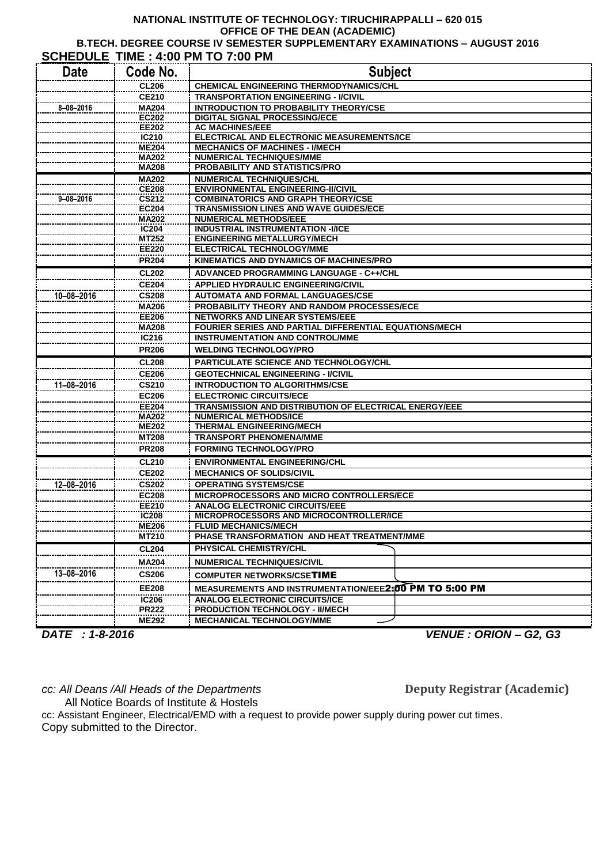#### **NATIONAL INSTITUTE OF TECHNOLOGY: TIRUCHIRAPPALLI – 620 015 OFFICE OF THE DEAN (ACADEMIC) B.TECH. DEGREE COURSE IV SEMESTER SUPPLEMENTARY EXAMINATIONS – AUGUST 2016 SCHEDULE TIME : 4:00 PM TO 7:00 PM**

| SCHEDULE TIME : 4:00 PM TO 7:00 PM |                              |                                                                               |  |  |
|------------------------------------|------------------------------|-------------------------------------------------------------------------------|--|--|
| <b>Date</b>                        | Code No.                     | <b>Subject</b>                                                                |  |  |
|                                    | <b>CL206</b>                 | <b>CHEMICAL ENGINEERING THERMODYNAMICS/CHL</b>                                |  |  |
|                                    | <b>CE210</b>                 | <b>TRANSPORTATION ENGINEERING - I/CIVIL</b>                                   |  |  |
| 8-08-2016                          | <b>MA204</b>                 | <b>INTRODUCTION TO PROBABILITY THEORY/CSE</b>                                 |  |  |
|                                    | <b>EC202</b>                 | <b>DIGITAL SIGNAL PROCESSING/ECE</b>                                          |  |  |
|                                    | <b>EE202</b>                 | <b>AC MACHINES/EEE</b>                                                        |  |  |
|                                    | IC210                        | ELECTRICAL AND ELECTRONIC MEASUREMENTS/ICE                                    |  |  |
|                                    | <b>ME204</b>                 | <b>MECHANICS OF MACHINES - I/MECH</b>                                         |  |  |
|                                    | <b>MA202</b>                 | <b>NUMERICAL TECHNIQUES/MME</b>                                               |  |  |
|                                    | <b>MA208</b>                 | PROBABILITY AND STATISTICS/PRO                                                |  |  |
|                                    | <b>MA202</b>                 | <b>NUMERICAL TECHNIQUES/CHL</b>                                               |  |  |
|                                    | <b>CE208</b>                 | <b>ENVIRONMENTAL ENGINEERING-II/CIVIL</b>                                     |  |  |
| $9 - 08 - 2016$                    | <b>CS212</b>                 | <b>COMBINATORICS AND GRAPH THEORY/CSE</b>                                     |  |  |
|                                    | <b>EC204</b><br><b>MA202</b> | <b>TRANSMISSION LINES AND WAVE GUIDES/ECE</b><br><b>NUMERICAL METHODS/EEE</b> |  |  |
|                                    | IC <sub>204</sub>            | <b>INDUSTRIAL INSTRUMENTATION -I/ICE</b>                                      |  |  |
|                                    | MT252                        | <b>ENGINEERING METALLURGY/MECH</b>                                            |  |  |
|                                    | <b>EE220</b>                 | <b>ELECTRICAL TECHNOLOGY/MME</b>                                              |  |  |
|                                    | <b>PR204</b>                 | KINEMATICS AND DYNAMICS OF MACHINES/PRO                                       |  |  |
|                                    | <b>CL202</b>                 | ADVANCED PROGRAMMING LANGUAGE - C++/CHL                                       |  |  |
|                                    | <b>CE204</b>                 | <b>APPLIED HYDRAULIC ENGINEERING/CIVIL</b>                                    |  |  |
| 10-08-2016                         | <b>CS208</b>                 | <b>AUTOMATA AND FORMAL LANGUAGES/CSE</b>                                      |  |  |
|                                    | MA206                        | <b>PROBABILITY THEORY AND RANDOM PROCESSES/ECE</b>                            |  |  |
|                                    | <b>EE206</b>                 | <b>NETWORKS AND LINEAR SYSTEMS/EEE</b>                                        |  |  |
|                                    | <b>MA208</b>                 | FOURIER SERIES AND PARTIAL DIFFERENTIAL EQUATIONS/MECH                        |  |  |
|                                    | IC216                        | <b>INSTRUMENTATION AND CONTROL/MME</b>                                        |  |  |
|                                    | <b>PR206</b>                 | <b>WELDING TECHNOLOGY/PRO</b>                                                 |  |  |
|                                    | <b>CL208</b>                 | PARTICULATE SCIENCE AND TECHNOLOGY/CHL                                        |  |  |
|                                    | <b>CE206</b>                 | <b>GEOTECHNICAL ENGINEERING - I/CIVIL</b>                                     |  |  |
| 11-08-2016                         | <b>CS210</b>                 | <b>INTRODUCTION TO ALGORITHMS/CSE</b>                                         |  |  |
|                                    | <b>EC206</b>                 | <b>ELECTRONIC CIRCUITS/ECE</b>                                                |  |  |
|                                    | <b>EE204</b>                 | TRANSMISSION AND DISTRIBUTION OF ELECTRICAL ENERGY/EEE                        |  |  |
|                                    | <b>MA202</b>                 | <b>NUMERICAL METHODS/ICE</b>                                                  |  |  |
|                                    | <b>ME202</b>                 | <b>THERMAL ENGINEERING/MECH</b>                                               |  |  |
|                                    | <b>MT208</b>                 | <b>TRANSPORT PHENOMENA/MME</b>                                                |  |  |
|                                    | <b>PR208</b>                 | <b>FORMING TECHNOLOGY/PRO</b>                                                 |  |  |
|                                    | <b>CL210</b>                 | <b>ENVIRONMENTAL ENGINEERING/CHL</b>                                          |  |  |
|                                    | <b>CE202</b>                 | <b>MECHANICS OF SOLIDS/CIVIL</b>                                              |  |  |
| 12-08-2016                         | <b>CS202</b>                 | <b>OPERATING SYSTEMS/CSE</b>                                                  |  |  |
|                                    | <b>EC208</b>                 | MICROPROCESSORS AND MICRO CONTROLLERS/ECE                                     |  |  |
|                                    | <b>EE210</b>                 | <b>ANALOG ELECTRONIC CIRCUITS/EEE</b>                                         |  |  |
|                                    | <b>IC208</b>                 | MICROPROCESSORS AND MICROCONTROLLER/ICE                                       |  |  |
|                                    | <b>ME206</b>                 | <b>FLUID MECHANICS/MECH</b>                                                   |  |  |
|                                    | MT210                        | PHASE TRANSFORMATION AND HEAT TREATMENT/MME                                   |  |  |
|                                    | <b>CL204</b>                 | PHYSICAL CHEMISTRY/CHL                                                        |  |  |
|                                    | <b>MA204</b>                 | <b>NUMERICAL TECHNIQUES/CIVIL</b>                                             |  |  |
| 13-08-2016                         | <b>CS206</b>                 | <b>COMPUTER NETWORKS/CSETIME</b>                                              |  |  |
|                                    | <b>EE208</b>                 | MEASUREMENTS AND INSTRUMENTATION/EEE2:00 PM TO 5:00 PM                        |  |  |
|                                    | <b>IC206</b>                 | <b>ANALOG ELECTRONIC CIRCUITS/ICE</b>                                         |  |  |
|                                    | <b>PR222</b>                 | <b>PRODUCTION TECHNOLOGY - II/MECH</b>                                        |  |  |
|                                    | <b>ME292</b>                 | <b>MECHANICAL TECHNOLOGY/MME</b>                                              |  |  |

*DATE : 1-8-2016 VENUE : ORION – G2, G3*

*cc: All Deans /All Heads of the Departments* **Deputy Registrar (Academic)** 

All Notice Boards of Institute & Hostels cc: Assistant Engineer, Electrical/EMD with a request to provide power supply during power cut times. Copy submitted to the Director.